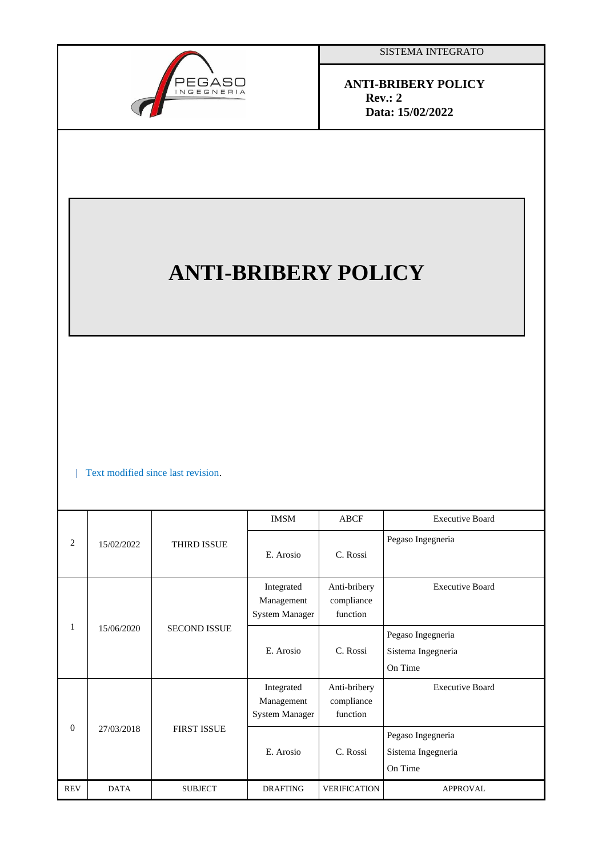

SISTEMA INTEGRATO

 **ANTI-BRIBERY POLICY Rev.: 2 Data: 15/02/2022**

# **ANTI-BRIBERY POLICY**

Text modified since last revision.

| 2          | 15/02/2022  | <b>THIRD ISSUE</b>  | <b>IMSM</b>                                       | <b>ABCF</b>                            | <b>Executive Board</b>                             |
|------------|-------------|---------------------|---------------------------------------------------|----------------------------------------|----------------------------------------------------|
|            |             |                     | E. Arosio                                         | C. Rossi                               | Pegaso Ingegneria                                  |
| 1          | 15/06/2020  | <b>SECOND ISSUE</b> | Integrated<br>Management<br><b>System Manager</b> | Anti-bribery<br>compliance<br>function | <b>Executive Board</b>                             |
|            |             |                     | E. Arosio                                         | C. Rossi                               | Pegaso Ingegneria<br>Sistema Ingegneria<br>On Time |
| $\Omega$   | 27/03/2018  | <b>FIRST ISSUE</b>  | Integrated<br>Management<br><b>System Manager</b> | Anti-bribery<br>compliance<br>function | <b>Executive Board</b>                             |
|            |             |                     | E. Arosio                                         | C. Rossi                               | Pegaso Ingegneria<br>Sistema Ingegneria<br>On Time |
| <b>REV</b> | <b>DATA</b> | <b>SUBJECT</b>      | <b>DRAFTING</b>                                   | <b>VERIFICATION</b>                    | <b>APPROVAL</b>                                    |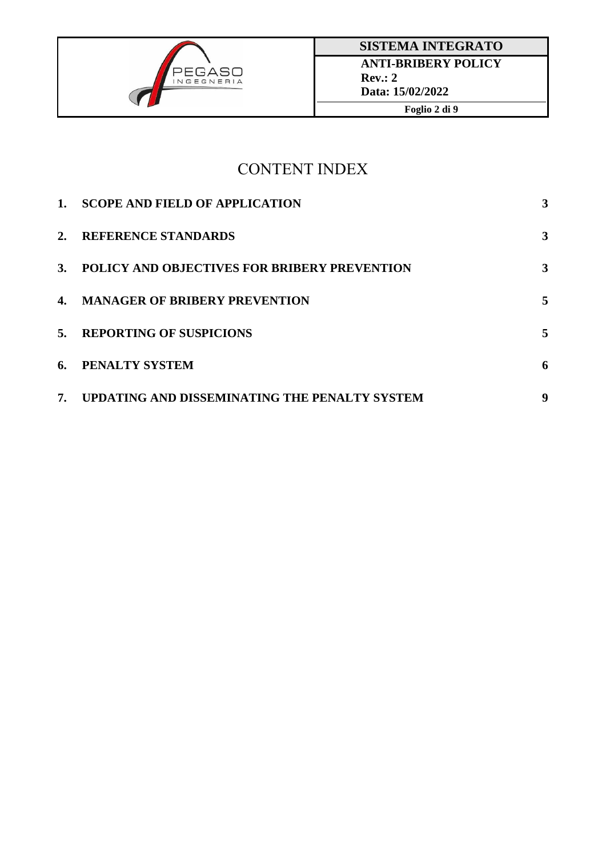

## CONTENT INDEX

| $1_{\cdot}$ | <b>SCOPE AND FIELD OF APPLICATION</b>         | 3 |
|-------------|-----------------------------------------------|---|
| 2.          | <b>REFERENCE STANDARDS</b>                    | 3 |
| 3.          | POLICY AND OBJECTIVES FOR BRIBERY PREVENTION  | 3 |
|             | 4. MANAGER OF BRIBERY PREVENTION              | 5 |
| 5.          | <b>REPORTING OF SUSPICIONS</b>                | 5 |
| 6.          | PENALTY SYSTEM                                | 6 |
| 7.          | UPDATING AND DISSEMINATING THE PENALTY SYSTEM | 9 |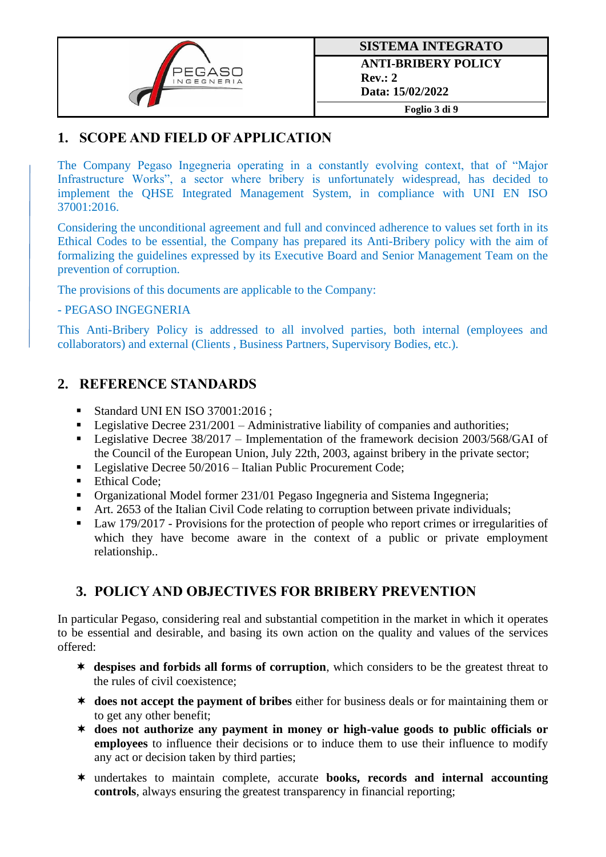

## **1. SCOPE AND FIELD OF APPLICATION**

The Company Pegaso Ingegneria operating in a constantly evolving context, that of "Major Infrastructure Works", a sector where bribery is unfortunately widespread, has decided to implement the QHSE Integrated Management System, in compliance with UNI EN ISO 37001:2016.

Considering the unconditional agreement and full and convinced adherence to values set forth in its Ethical Codes to be essential, the Company has prepared its Anti-Bribery policy with the aim of formalizing the guidelines expressed by its Executive Board and Senior Management Team on the prevention of corruption.

The provisions of this documents are applicable to the Company:

#### - PEGASO INGEGNERIA

This Anti-Bribery Policy is addressed to all involved parties, both internal (employees and collaborators) and external (Clients , Business Partners, Supervisory Bodies, etc.).

## **2. REFERENCE STANDARDS**

- Standard UNI EN ISO 37001:2016 ;
- **•** Legislative Decree  $231/2001$  Administrative liability of companies and authorities;
- Legislative Decree 38/2017 Implementation of the framework decision 2003/568/GAI of the Council of the European Union, July 22th, 2003, against bribery in the private sector;
- Legislative Decree 50/2016 Italian Public Procurement Code;
- Ethical Code;
- Organizational Model former 231/01 Pegaso Ingegneria and Sistema Ingegneria;
- Art. 2653 of the Italian Civil Code relating to corruption between private individuals;
- Law 179/2017 Provisions for the protection of people who report crimes or irregularities of which they have become aware in the context of a public or private employment relationship..

## **3. POLICY AND OBJECTIVES FOR BRIBERY PREVENTION**

In particular Pegaso, considering real and substantial competition in the market in which it operates to be essential and desirable, and basing its own action on the quality and values of the services offered:

- **despises and forbids all forms of corruption**, which considers to be the greatest threat to the rules of civil coexistence;
- **does not accept the payment of bribes** either for business deals or for maintaining them or to get any other benefit;
- **does not authorize any payment in money or high-value goods to public officials or employees** to influence their decisions or to induce them to use their influence to modify any act or decision taken by third parties;
- undertakes to maintain complete, accurate **books, records and internal accounting controls**, always ensuring the greatest transparency in financial reporting;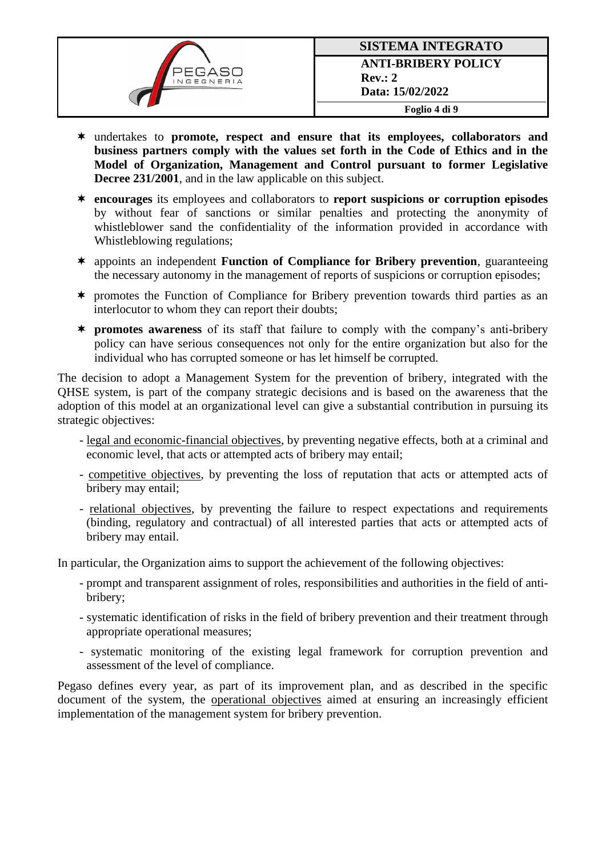

- undertakes to **promote, respect and ensure that its employees, collaborators and business partners comply with the values set forth in the Code of Ethics and in the Model of Organization, Management and Control pursuant to former Legislative Decree 231/2001**, and in the law applicable on this subject.
- **encourages** its employees and collaborators to **report suspicions or corruption episodes** by without fear of sanctions or similar penalties and protecting the anonymity of whistleblower sand the confidentiality of the information provided in accordance with Whistleblowing regulations;
- appoints an independent **Function of Compliance for Bribery prevention**, guaranteeing the necessary autonomy in the management of reports of suspicions or corruption episodes;
- \* promotes the Function of Compliance for Bribery prevention towards third parties as an interlocutor to whom they can report their doubts;
- **promotes awareness** of its staff that failure to comply with the company's anti-bribery policy can have serious consequences not only for the entire organization but also for the individual who has corrupted someone or has let himself be corrupted.

The decision to adopt a Management System for the prevention of bribery, integrated with the QHSE system, is part of the company strategic decisions and is based on the awareness that the adoption of this model at an organizational level can give a substantial contribution in pursuing its strategic objectives:

- legal and economic-financial objectives, by preventing negative effects, both at a criminal and economic level, that acts or attempted acts of bribery may entail;
- competitive objectives, by preventing the loss of reputation that acts or attempted acts of bribery may entail;
- relational objectives, by preventing the failure to respect expectations and requirements (binding, regulatory and contractual) of all interested parties that acts or attempted acts of bribery may entail.

In particular, the Organization aims to support the achievement of the following objectives:

- prompt and transparent assignment of roles, responsibilities and authorities in the field of antibribery;
- systematic identification of risks in the field of bribery prevention and their treatment through appropriate operational measures;
- systematic monitoring of the existing legal framework for corruption prevention and assessment of the level of compliance.

Pegaso defines every year, as part of its improvement plan, and as described in the specific document of the system, the operational objectives aimed at ensuring an increasingly efficient implementation of the management system for bribery prevention.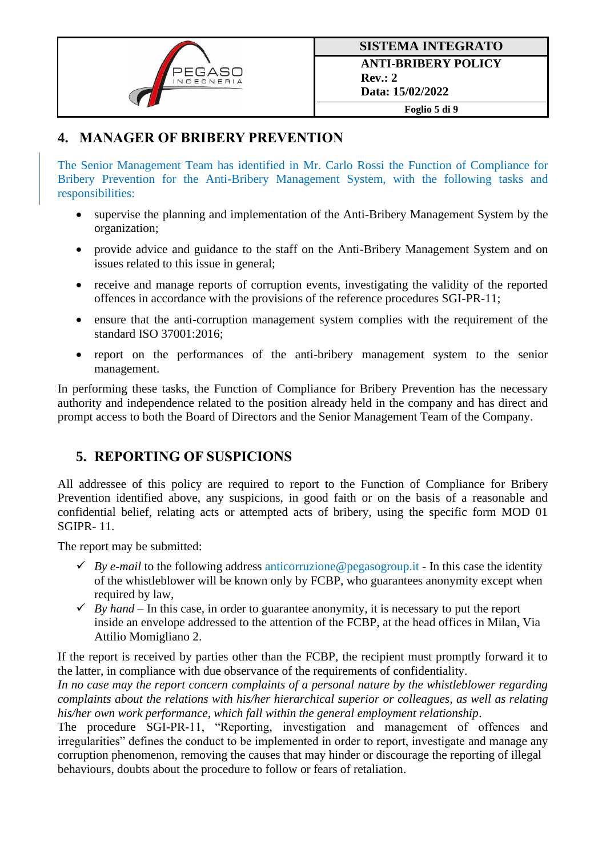

## **4. MANAGER OF BRIBERY PREVENTION**

The Senior Management Team has identified in Mr. Carlo Rossi the Function of Compliance for Bribery Prevention for the Anti-Bribery Management System, with the following tasks and responsibilities:

- supervise the planning and implementation of the Anti-Bribery Management System by the organization;
- provide advice and guidance to the staff on the Anti-Bribery Management System and on issues related to this issue in general;
- receive and manage reports of corruption events, investigating the validity of the reported offences in accordance with the provisions of the reference procedures SGI-PR-11;
- ensure that the anti-corruption management system complies with the requirement of the standard ISO 37001:2016;
- report on the performances of the anti-bribery management system to the senior management.

In performing these tasks, the Function of Compliance for Bribery Prevention has the necessary authority and independence related to the position already held in the company and has direct and prompt access to both the Board of Directors and the Senior Management Team of the Company.

## **5. REPORTING OF SUSPICIONS**

All addressee of this policy are required to report to the Function of Compliance for Bribery Prevention identified above, any suspicions, in good faith or on the basis of a reasonable and confidential belief, relating acts or attempted acts of bribery, using the specific form MOD 01 SGIPR- 11.

The report may be submitted:

- $\checkmark$  *By e-mail* to the following address anticorruzione@pegasogroup.it In this case the identity of the whistleblower will be known only by FCBP, who guarantees anonymity except when required by law,
- $\checkmark$  *By hand* In this case, in order to guarantee anonymity, it is necessary to put the report inside an envelope addressed to the attention of the FCBP, at the head offices in Milan, Via Attilio Momigliano 2.

If the report is received by parties other than the FCBP, the recipient must promptly forward it to the latter, in compliance with due observance of the requirements of confidentiality.

*In no case may the report concern complaints of a personal nature by the whistleblower regarding complaints about the relations with his/her hierarchical superior or colleagues, as well as relating his/her own work performance, which fall within the general employment relationship*.

The procedure SGI-PR-11, "Reporting, investigation and management of offences and irregularities" defines the conduct to be implemented in order to report, investigate and manage any corruption phenomenon, removing the causes that may hinder or discourage the reporting of illegal behaviours, doubts about the procedure to follow or fears of retaliation.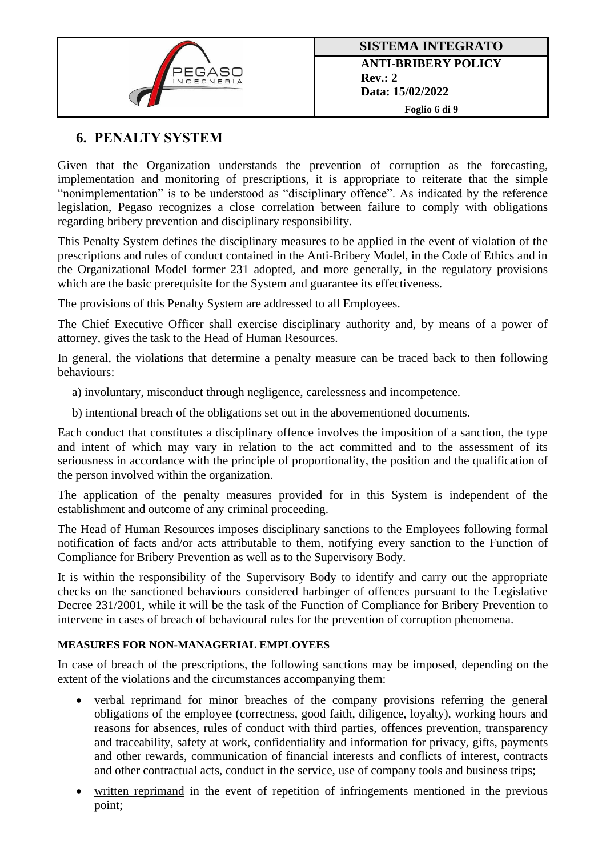

## **6. PENALTY SYSTEM**

Given that the Organization understands the prevention of corruption as the forecasting, implementation and monitoring of prescriptions, it is appropriate to reiterate that the simple "nonimplementation" is to be understood as "disciplinary offence". As indicated by the reference legislation, Pegaso recognizes a close correlation between failure to comply with obligations regarding bribery prevention and disciplinary responsibility.

This Penalty System defines the disciplinary measures to be applied in the event of violation of the prescriptions and rules of conduct contained in the Anti-Bribery Model, in the Code of Ethics and in the Organizational Model former 231 adopted, and more generally, in the regulatory provisions which are the basic prerequisite for the System and guarantee its effectiveness.

The provisions of this Penalty System are addressed to all Employees.

The Chief Executive Officer shall exercise disciplinary authority and, by means of a power of attorney, gives the task to the Head of Human Resources.

In general, the violations that determine a penalty measure can be traced back to then following behaviours:

a) involuntary, misconduct through negligence, carelessness and incompetence.

b) intentional breach of the obligations set out in the abovementioned documents.

Each conduct that constitutes a disciplinary offence involves the imposition of a sanction, the type and intent of which may vary in relation to the act committed and to the assessment of its seriousness in accordance with the principle of proportionality, the position and the qualification of the person involved within the organization.

The application of the penalty measures provided for in this System is independent of the establishment and outcome of any criminal proceeding.

The Head of Human Resources imposes disciplinary sanctions to the Employees following formal notification of facts and/or acts attributable to them, notifying every sanction to the Function of Compliance for Bribery Prevention as well as to the Supervisory Body.

It is within the responsibility of the Supervisory Body to identify and carry out the appropriate checks on the sanctioned behaviours considered harbinger of offences pursuant to the Legislative Decree 231/2001, while it will be the task of the Function of Compliance for Bribery Prevention to intervene in cases of breach of behavioural rules for the prevention of corruption phenomena.

#### **MEASURES FOR NON-MANAGERIAL EMPLOYEES**

In case of breach of the prescriptions, the following sanctions may be imposed, depending on the extent of the violations and the circumstances accompanying them:

- verbal reprimand for minor breaches of the company provisions referring the general obligations of the employee (correctness, good faith, diligence, loyalty), working hours and reasons for absences, rules of conduct with third parties, offences prevention, transparency and traceability, safety at work, confidentiality and information for privacy, gifts, payments and other rewards, communication of financial interests and conflicts of interest, contracts and other contractual acts, conduct in the service, use of company tools and business trips;
- written reprimand in the event of repetition of infringements mentioned in the previous point;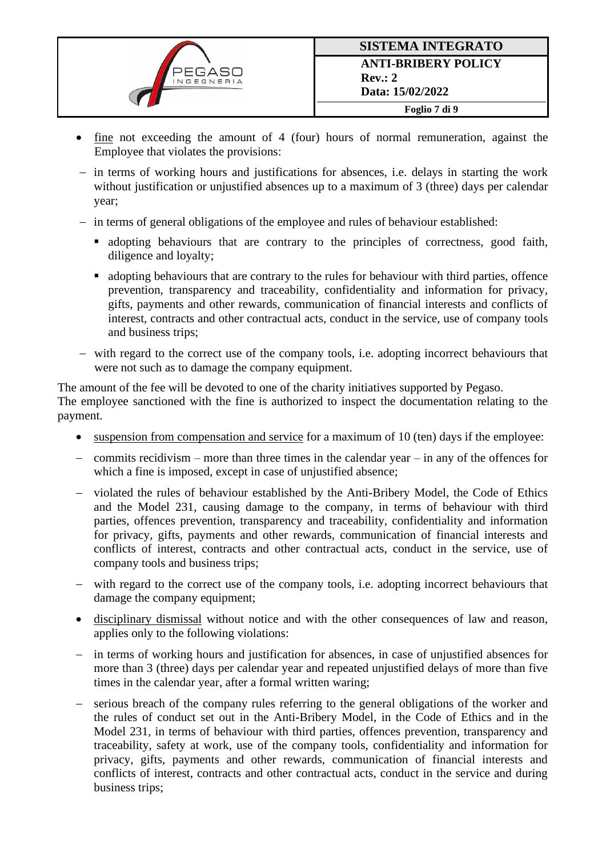

- fine not exceeding the amount of 4 (four) hours of normal remuneration, against the Employee that violates the provisions:
- − in terms of working hours and justifications for absences, i.e. delays in starting the work without justification or unjustified absences up to a maximum of 3 (three) days per calendar year;
- − in terms of general obligations of the employee and rules of behaviour established:
	- adopting behaviours that are contrary to the principles of correctness, good faith, diligence and loyalty;
	- adopting behaviours that are contrary to the rules for behaviour with third parties, offence prevention, transparency and traceability, confidentiality and information for privacy, gifts, payments and other rewards, communication of financial interests and conflicts of interest, contracts and other contractual acts, conduct in the service, use of company tools and business trips;
- − with regard to the correct use of the company tools, i.e. adopting incorrect behaviours that were not such as to damage the company equipment.

The amount of the fee will be devoted to one of the charity initiatives supported by Pegaso. The employee sanctioned with the fine is authorized to inspect the documentation relating to the payment.

- suspension from compensation and service for a maximum of 10 (ten) days if the employee:
- − commits recidivism more than three times in the calendar year in any of the offences for which a fine is imposed, except in case of unjustified absence;
- − violated the rules of behaviour established by the Anti-Bribery Model, the Code of Ethics and the Model 231, causing damage to the company, in terms of behaviour with third parties, offences prevention, transparency and traceability, confidentiality and information for privacy, gifts, payments and other rewards, communication of financial interests and conflicts of interest, contracts and other contractual acts, conduct in the service, use of company tools and business trips;
- − with regard to the correct use of the company tools, i.e. adopting incorrect behaviours that damage the company equipment;
- disciplinary dismissal without notice and with the other consequences of law and reason, applies only to the following violations:
- − in terms of working hours and justification for absences, in case of unjustified absences for more than 3 (three) days per calendar year and repeated unjustified delays of more than five times in the calendar year, after a formal written waring;
- serious breach of the company rules referring to the general obligations of the worker and the rules of conduct set out in the Anti-Bribery Model, in the Code of Ethics and in the Model 231, in terms of behaviour with third parties, offences prevention, transparency and traceability, safety at work, use of the company tools, confidentiality and information for privacy, gifts, payments and other rewards, communication of financial interests and conflicts of interest, contracts and other contractual acts, conduct in the service and during business trips;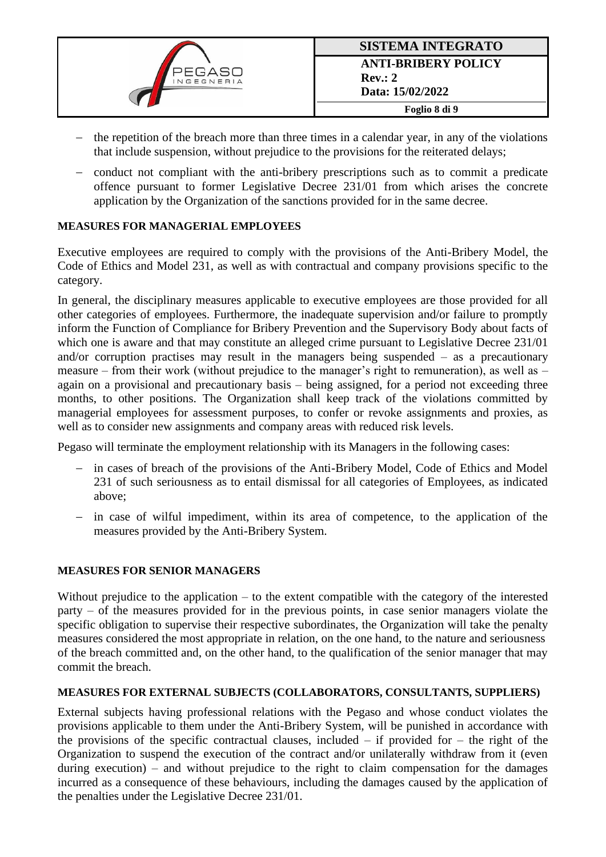

- the repetition of the breach more than three times in a calendar year, in any of the violations that include suspension, without prejudice to the provisions for the reiterated delays;
- − conduct not compliant with the anti-bribery prescriptions such as to commit a predicate offence pursuant to former Legislative Decree 231/01 from which arises the concrete application by the Organization of the sanctions provided for in the same decree.

#### **MEASURES FOR MANAGERIAL EMPLOYEES**

Executive employees are required to comply with the provisions of the Anti-Bribery Model, the Code of Ethics and Model 231, as well as with contractual and company provisions specific to the category.

In general, the disciplinary measures applicable to executive employees are those provided for all other categories of employees. Furthermore, the inadequate supervision and/or failure to promptly inform the Function of Compliance for Bribery Prevention and the Supervisory Body about facts of which one is aware and that may constitute an alleged crime pursuant to Legislative Decree 231/01 and/or corruption practises may result in the managers being suspended – as a precautionary measure – from their work (without prejudice to the manager's right to remuneration), as well as – again on a provisional and precautionary basis – being assigned, for a period not exceeding three months, to other positions. The Organization shall keep track of the violations committed by managerial employees for assessment purposes, to confer or revoke assignments and proxies, as well as to consider new assignments and company areas with reduced risk levels.

Pegaso will terminate the employment relationship with its Managers in the following cases:

- − in cases of breach of the provisions of the Anti-Bribery Model, Code of Ethics and Model 231 of such seriousness as to entail dismissal for all categories of Employees, as indicated above;
- − in case of wilful impediment, within its area of competence, to the application of the measures provided by the Anti-Bribery System.

#### **MEASURES FOR SENIOR MANAGERS**

Without prejudice to the application – to the extent compatible with the category of the interested party – of the measures provided for in the previous points, in case senior managers violate the specific obligation to supervise their respective subordinates, the Organization will take the penalty measures considered the most appropriate in relation, on the one hand, to the nature and seriousness of the breach committed and, on the other hand, to the qualification of the senior manager that may commit the breach.

#### **MEASURES FOR EXTERNAL SUBJECTS (COLLABORATORS, CONSULTANTS, SUPPLIERS)**

External subjects having professional relations with the Pegaso and whose conduct violates the provisions applicable to them under the Anti-Bribery System, will be punished in accordance with the provisions of the specific contractual clauses, included  $-$  if provided for  $-$  the right of the Organization to suspend the execution of the contract and/or unilaterally withdraw from it (even during execution) – and without prejudice to the right to claim compensation for the damages incurred as a consequence of these behaviours, including the damages caused by the application of the penalties under the Legislative Decree 231/01.